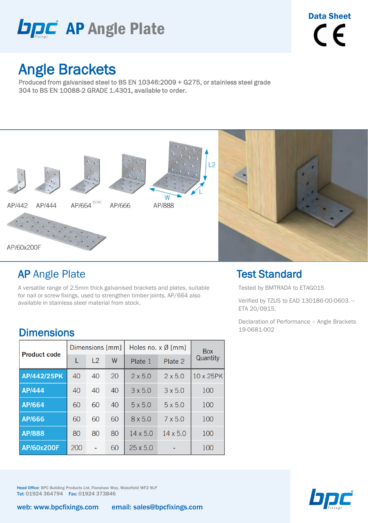

## Angle Brackets

Produced from galvanised steel to BS EN 10346:2009 + G275, or stainless steel grade 304 to BS EN 10088-2 GRADE 1.4301, available to order.



## AP Angle Plate

A versatile range of 2.5mm thick galvanised brackets and plates, suitable for nail or screw fixings, used to strengthen timber joints. AP/664 also available in stainless steel material from stock.

### **Dimensions**

| <b>Product code</b> |     | Dimensions [mm] |    | Holes no. $x \emptyset$ [mm] | <b>Box</b>      |           |  |
|---------------------|-----|-----------------|----|------------------------------|-----------------|-----------|--|
|                     |     | L <sub>2</sub>  | W  | Plate 1                      | Plate 2         | Quantity  |  |
| AP/442/25PK         | 40  | 40              | 20 | $2 \times 5.0$               | $2 \times 5.0$  | 10 x 25PK |  |
| AP/444              | 40  | 40              | 40 | $3 \times 5.0$               | $3 \times 5.0$  | 100       |  |
| AP/664              | 60  | 60              | 40 | $5 \times 5.0$               | $5 \times 5.0$  | 100       |  |
| AP/666              | 60  | 60              | 60 | 8 x 5.0                      | $7 \times 5.0$  | 100       |  |
| <b>AP/888</b>       | 80  | 80              | 80 | $14 \times 5.0$              | $14 \times 5.0$ | 100       |  |
| AP/60x200F          | 200 |                 | 60 | $25 \times 5.0$              |                 | 100       |  |

Test Standard

Tested by BMTRADA to ETAG015

Verified by TZUS to EAD 130186-00-0603. – ETA 20/0915.

Declaration of Performance – Angle Brackets 19-0681-002

Head Office: BPC Building Products Ltd, Flanshaw Way, Wakefield WF2 9LP Tel: 01924 364794 Fax: 01924 373846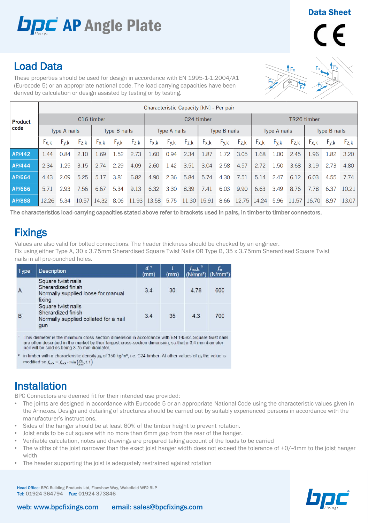# **DDC** AP Angle Plate

#### Data Sheet



## Load Data

These properties should be used for design in accordance with EN 1995-1-1:2004/A1 (Eurocode 5) or an appropriate national code. The load-carrying capacities have been derived by calculation or design assisted by testing or by testing.

|                | Characteristic Capacity [kN] - Per pair |           |           |              |            |           |                     |                             |               |             |                     |           |           |                     |           |           |           |           |
|----------------|-----------------------------------------|-----------|-----------|--------------|------------|-----------|---------------------|-----------------------------|---------------|-------------|---------------------|-----------|-----------|---------------------|-----------|-----------|-----------|-----------|
| <b>Product</b> | C <sub>16</sub> timber                  |           |           |              | C24 timber |           |                     |                             |               | TR26 timber |                     |           |           |                     |           |           |           |           |
| code           | Type A nails                            |           |           | Type B nails |            |           | <b>Type A nails</b> |                             | Type B nails  |             | <b>Type A nails</b> |           |           | <b>Type B nails</b> |           |           |           |           |
|                | $F_{X,k}$                               | $F_{y,k}$ | $F_{Z,K}$ | tx.k         | $F_{y,k}$  | $F_{Z,K}$ | $F_{X,K}$           | $F_{\mathsf{y},\mathsf{k}}$ | $F_{Z,k}$     | $F_{X,k}$   | $F_{y,k}$           | $F_{Z,k}$ | $F_{X,K}$ | $F_{y,k}$           | $F_{Z,k}$ | $F_{X,K}$ | $F_{y,k}$ | $F_{Z,k}$ |
| <b>AP/442</b>  | 1.44                                    | 0.84      | 2.10      | .69          | 1.52       | 2.73      | 1.60                | 0.94                        | 2.34          | 1.87        | 1.72                | 3.05      | 1.68      | 1.00                | 2.45      | 1.96      | 1.82      | 3.20      |
| AP/444         | 2.34                                    | 1.25      | 3.15      | 2.74         | 2.29       | 4.09      | 2.60                | 1.42                        | 3.51          | 3.04        | 2.58                | 4.57      | 2.72      | 1.50                | 3.68      | 3.19      | 2.73      | 4.80      |
| <b>AP/664</b>  | 4.43                                    | 2.09      | 5.25      | 5.17         | 3.81       | 6.82      | 4.90                | 2.36                        | 5.84          | 5.74        | 4.30                | 7.51      | 5.14      | 2.47                | 6.12      | 6.03      | 4.55      | 7.74      |
| AP/666         | 5.71                                    | 2.93      | 7.56      | 6.67         | 5.34       | 9.13      | 6.32                | 3.30                        | 8.39          | 7.41        | 6.03                | 9.90      | 6.63      | 3.49                | 8.76      | 7.78      | 6.37      | 10.21     |
| AP/888         | 12.26                                   | 5.34      | 10.57     | 14.32        | 8.06       | 11.93     | 13.58               | 5.75                        | 11.30   15.91 |             | 8.66                | 12.75     | 14.24     | 5.96                | 11.57     | 16.70     | 8.97      | 13.07     |

The characteristics load-carrying capacities stated above refer to brackets used in pairs, in timber to timber connectors.

## **Fixings**

Values are also valid for bolted connections. The header thickness should be checked by an engineer. Fix using either Type A, 30 x 3.75mm Sherardised Square Twist Nails OR Type B, 35 x 3.75mm Sherardised Square Twist nails in all pre-punched holes.

| <b>Type</b> | <b>Description</b>                                                                                                                                                                                                             | $d^1$<br>(mm) | (mm) | $f_{\rm ax,k}$ <sup>2</sup><br>$(N/mm2)$ (N/mm <sup>2</sup> ) |     |
|-------------|--------------------------------------------------------------------------------------------------------------------------------------------------------------------------------------------------------------------------------|---------------|------|---------------------------------------------------------------|-----|
|             | Square twist nails<br>Sherardized finish<br>Normally supplied loose for manual<br>fixing                                                                                                                                       | 3.4           | 30   | 4.78                                                          | 600 |
| в           | Square twist nails<br>Sherardized finish<br>Normally supplied collated for a nail<br>gun                                                                                                                                       | 3.4           | 35   | 4.3                                                           | 700 |
|             | THE REPORT OF A REPORT OF A REPORT OF A REPORT OF A REPORT OF A REPORT OF A REPORT OF A REPORT OF A REPORT OF A REPORT OF A REPORT OF A REPORT OF A REPORT OF A REPORT OF A REPORT OF A REPORT OF A REPORT OF A REPORT OF A RE |               |      |                                                               |     |

This diameter is the minimum cross-section dimension in accordance with EN 14592. Square twist nails are often described in the market by their largest cross-section dimension, so that a 3.4 mm diameter nail will be sold as being 3.75 mm diameter.

In timber with a characteristic density  $\rho_k$  of 350 kg/m<sup>3</sup>, i.e. C24 timber. At other values of  $\rho_k$  the value is modified so  $f_{\text{axk}} = f_{\text{axk}} \cdot \min\left(\frac{\rho_k}{250}, 1.1\right)$ 

## Installation

BPC Connectors are deemed fit for their intended use provided:

- The joints are designed in accordance with Eurocode 5 or an appropriate National Code using the characteristic values given in the Annexes. Design and detailing of structures should be carried out by suitably experienced persons in accordance with the manufacturer's instructions.
- Sides of the hanger should be at least 60% of the timber height to prevent rotation.
- Joist ends to be cut square with no more than 6mm gap from the rear of the hanger.
- Verifiable calculation, notes and drawings are prepared taking account of the loads to be carried
- The widths of the joist narrower than the exact joist hanger width does not exceed the tolerance of +0/-4mm to the joist hanger width
- The header supporting the joist is adequately restrained against rotation

Head Office: BPC Building Products Ltd, Flanshaw Way, Wakefield WF2 9LP Tel: 01924 364794 Fax: 01924 373846